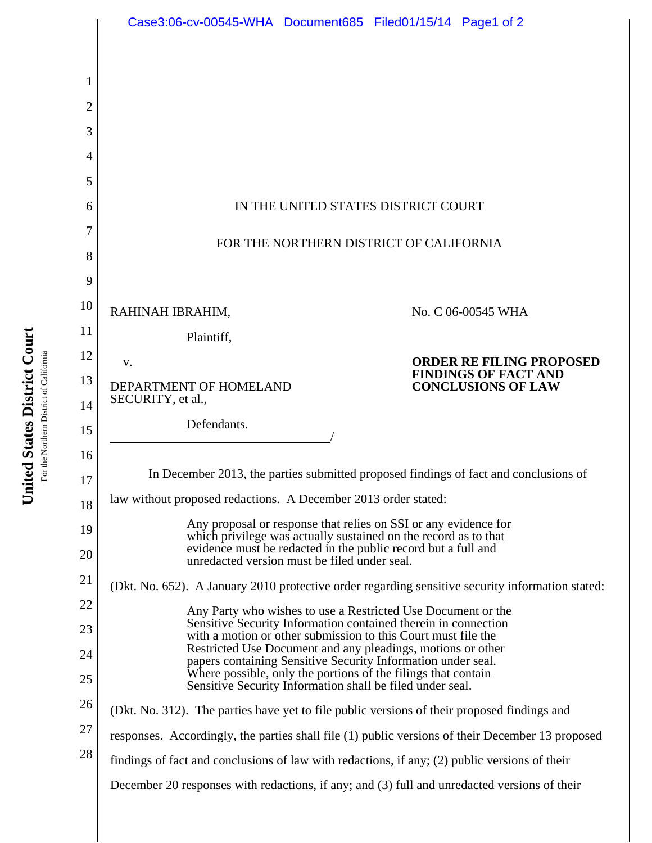|                | Case3:06-cv-00545-WHA Document685 Filed01/15/14 Page1 of 2                                                                                                                                   |                                                                                                  |  |
|----------------|----------------------------------------------------------------------------------------------------------------------------------------------------------------------------------------------|--------------------------------------------------------------------------------------------------|--|
|                |                                                                                                                                                                                              |                                                                                                  |  |
| 1              |                                                                                                                                                                                              |                                                                                                  |  |
| $\overline{2}$ |                                                                                                                                                                                              |                                                                                                  |  |
| 3<br>4         |                                                                                                                                                                                              |                                                                                                  |  |
| 5              |                                                                                                                                                                                              |                                                                                                  |  |
| 6              | IN THE UNITED STATES DISTRICT COURT                                                                                                                                                          |                                                                                                  |  |
| 7              | FOR THE NORTHERN DISTRICT OF CALIFORNIA                                                                                                                                                      |                                                                                                  |  |
| 8              |                                                                                                                                                                                              |                                                                                                  |  |
| 9              |                                                                                                                                                                                              |                                                                                                  |  |
| 10             | RAHINAH IBRAHIM,<br>No. C 06-00545 WHA                                                                                                                                                       |                                                                                                  |  |
| 11<br>12       | Plaintiff,                                                                                                                                                                                   |                                                                                                  |  |
| 13             | V.<br>DEPARTMENT OF HOMELAND                                                                                                                                                                 | <b>ORDER RE FILING PROPOSED</b><br><b>FINDINGS OF FACT AND</b><br><b>CONCLUSIONS OF LAW</b>      |  |
| 14             | SECURITY, et al.,                                                                                                                                                                            |                                                                                                  |  |
| 15             | Defendants.                                                                                                                                                                                  |                                                                                                  |  |
| 16             | In December 2013, the parties submitted proposed findings of fact and conclusions of                                                                                                         |                                                                                                  |  |
| 17             | law without proposed redactions. A December 2013 order stated:                                                                                                                               |                                                                                                  |  |
| 18<br>19       | Any proposal or response that relies on SSI or any evidence for                                                                                                                              |                                                                                                  |  |
| 20             | which privilege was actually sustained on the record as to that<br>evidence must be redacted in the public record but a full and<br>unredacted version must be filed under seal.             |                                                                                                  |  |
| 21             | (Dkt. No. 652). A January 2010 protective order regarding sensitive security information stated:                                                                                             |                                                                                                  |  |
| 22             | Any Party who wishes to use a Restricted Use Document or the                                                                                                                                 |                                                                                                  |  |
| 23             | Sensitive Security Information contained therein in connection<br>with a motion or other submission to this Court must file the                                                              |                                                                                                  |  |
| 24             | Restricted Use Document and any pleadings, motions or other<br>papers containing Sensitive Security Information under seal.<br>Where possible, only the portions of the filings that contain |                                                                                                  |  |
| 25<br>26       | Sensitive Security Information shall be filed under seal.                                                                                                                                    |                                                                                                  |  |
| 27             |                                                                                                                                                                                              | (Dkt. No. 312). The parties have yet to file public versions of their proposed findings and      |  |
| 28             | findings of fact and conclusions of law with redactions, if any; (2) public versions of their                                                                                                | responses. Accordingly, the parties shall file (1) public versions of their December 13 proposed |  |
|                |                                                                                                                                                                                              | December 20 responses with redactions, if any; and (3) full and unredacted versions of their     |  |
|                |                                                                                                                                                                                              |                                                                                                  |  |